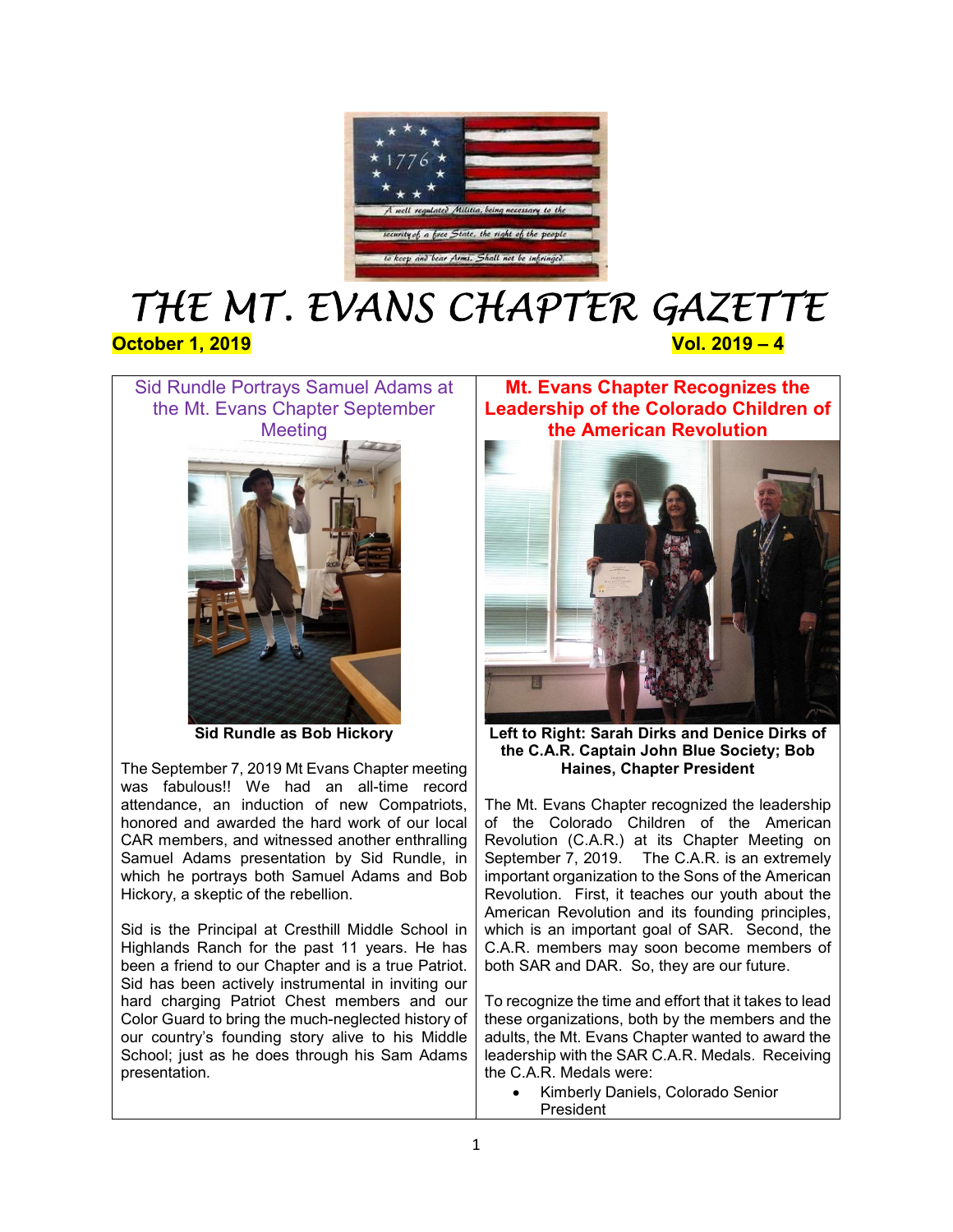

# THE MT. EVANS CHAPTER GAZETTE October 1, 2019 **Vol. 2019 Vol. 2019 – 4**



Sid Rundle as Bob Hickory

The September 7, 2019 Mt Evans Chapter meeting was fabulous!! We had an all-time record attendance, an induction of new Compatriots, honored and awarded the hard work of our local CAR members, and witnessed another enthralling Samuel Adams presentation by Sid Rundle, in which he portrays both Samuel Adams and Bob Hickory, a skeptic of the rebellion.

Sid is the Principal at Cresthill Middle School in Highlands Ranch for the past 11 years. He has been a friend to our Chapter and is a true Patriot. Sid has been actively instrumental in inviting our hard charging Patriot Chest members and our Color Guard to bring the much-neglected history of our country's founding story alive to his Middle School; just as he does through his Sam Adams presentation.

Mt. Evans Chapter Recognizes the Leadership of the Colorado Children of the American Revolution



Left to Right: Sarah Dirks and Denice Dirks of the C.A.R. Captain John Blue Society; Bob Haines, Chapter President

The Mt. Evans Chapter recognized the leadership of the Colorado Children of the American Revolution (C.A.R.) at its Chapter Meeting on September 7, 2019. The C.A.R. is an extremely important organization to the Sons of the American Revolution. First, it teaches our youth about the American Revolution and its founding principles, which is an important goal of SAR. Second, the C.A.R. members may soon become members of both SAR and DAR. So, they are our future.

To recognize the time and effort that it takes to lead these organizations, both by the members and the adults, the Mt. Evans Chapter wanted to award the leadership with the SAR C.A.R. Medals. Receiving the C.A.R. Medals were:

 Kimberly Daniels, Colorado Senior **President**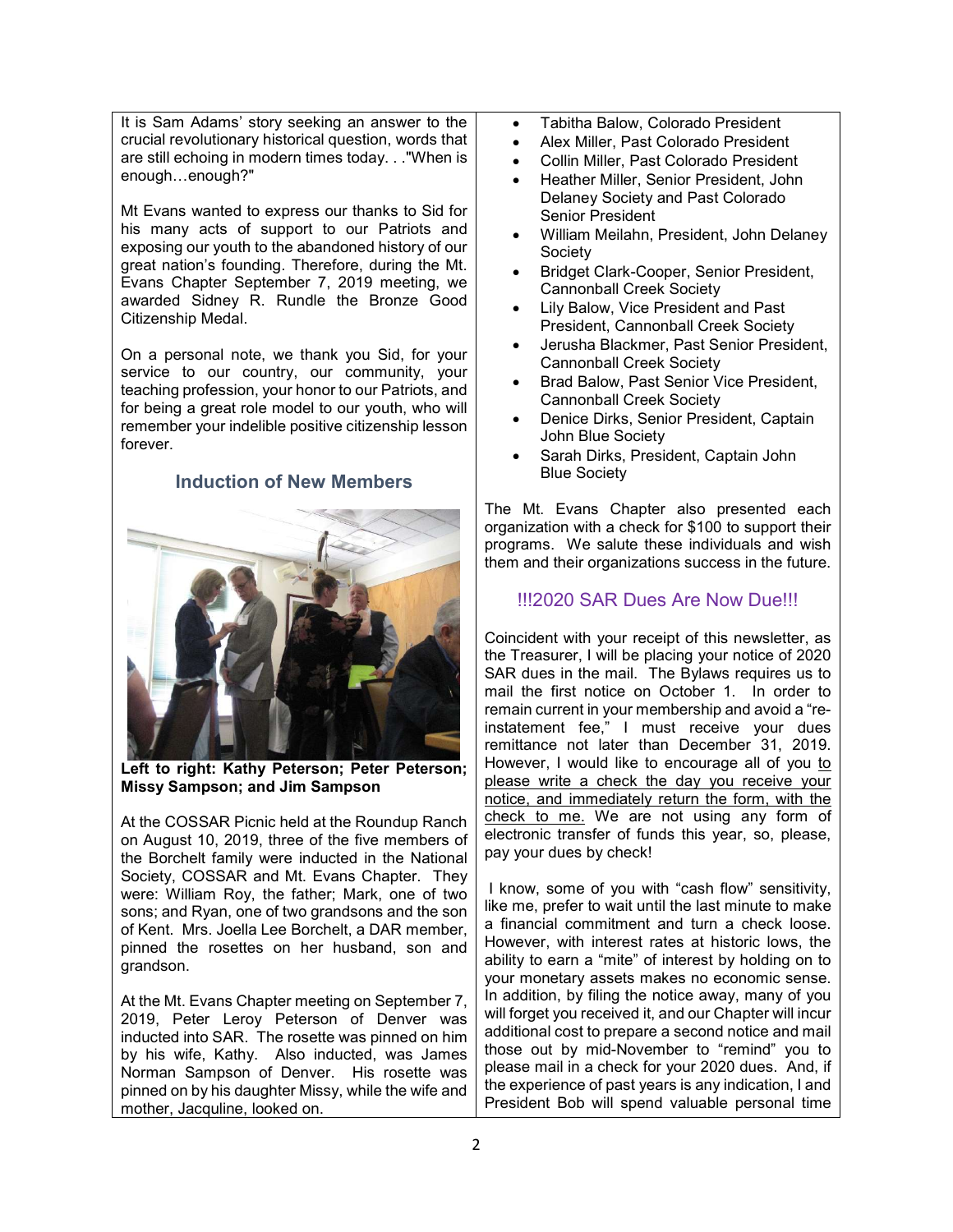It is Sam Adams' story seeking an answer to the crucial revolutionary historical question, words that are still echoing in modern times today. . ."When is enough…enough?"

Mt Evans wanted to express our thanks to Sid for his many acts of support to our Patriots and exposing our youth to the abandoned history of our great nation's founding. Therefore, during the Mt. Evans Chapter September 7, 2019 meeting, we awarded Sidney R. Rundle the Bronze Good Citizenship Medal.

On a personal note, we thank you Sid, for your service to our country, our community, your teaching profession, your honor to our Patriots, and for being a great role model to our youth, who will remember your indelible positive citizenship lesson forever.

#### Induction of New Members



Left to right: Kathy Peterson; Peter Peterson; Missy Sampson; and Jim Sampson

At the COSSAR Picnic held at the Roundup Ranch on August 10, 2019, three of the five members of the Borchelt family were inducted in the National Society, COSSAR and Mt. Evans Chapter. They were: William Roy, the father; Mark, one of two sons; and Ryan, one of two grandsons and the son of Kent. Mrs. Joella Lee Borchelt, a DAR member, pinned the rosettes on her husband, son and grandson.

At the Mt. Evans Chapter meeting on September 7, 2019, Peter Leroy Peterson of Denver was inducted into SAR. The rosette was pinned on him by his wife, Kathy. Also inducted, was James Norman Sampson of Denver. His rosette was pinned on by his daughter Missy, while the wife and mother, Jacquline, looked on.

- Tabitha Balow, Colorado President
- Alex Miller, Past Colorado President
- Collin Miller, Past Colorado President
- Heather Miller, Senior President, John Delaney Society and Past Colorado Senior President
- William Meilahn, President, John Delaney Society
- Bridget Clark-Cooper, Senior President, Cannonball Creek Society
- Lily Balow, Vice President and Past President, Cannonball Creek Society
- Jerusha Blackmer, Past Senior President, Cannonball Creek Society
- Brad Balow, Past Senior Vice President, Cannonball Creek Society
- Denice Dirks, Senior President, Captain John Blue Society
- Sarah Dirks, President, Captain John Blue Society

The Mt. Evans Chapter also presented each organization with a check for \$100 to support their programs. We salute these individuals and wish them and their organizations success in the future.

#### !!!2020 SAR Dues Are Now Due!!!

Coincident with your receipt of this newsletter, as the Treasurer, I will be placing your notice of 2020 SAR dues in the mail. The Bylaws requires us to mail the first notice on October 1. In order to remain current in your membership and avoid a "reinstatement fee," I must receive your dues remittance not later than December 31, 2019. However, I would like to encourage all of you to please write a check the day you receive your notice, and immediately return the form, with the check to me. We are not using any form of electronic transfer of funds this year, so, please, pay your dues by check!

 I know, some of you with "cash flow" sensitivity, like me, prefer to wait until the last minute to make a financial commitment and turn a check loose. However, with interest rates at historic lows, the ability to earn a "mite" of interest by holding on to your monetary assets makes no economic sense. In addition, by filing the notice away, many of you will forget you received it, and our Chapter will incur additional cost to prepare a second notice and mail those out by mid-November to "remind" you to please mail in a check for your 2020 dues. And, if the experience of past years is any indication, I and President Bob will spend valuable personal time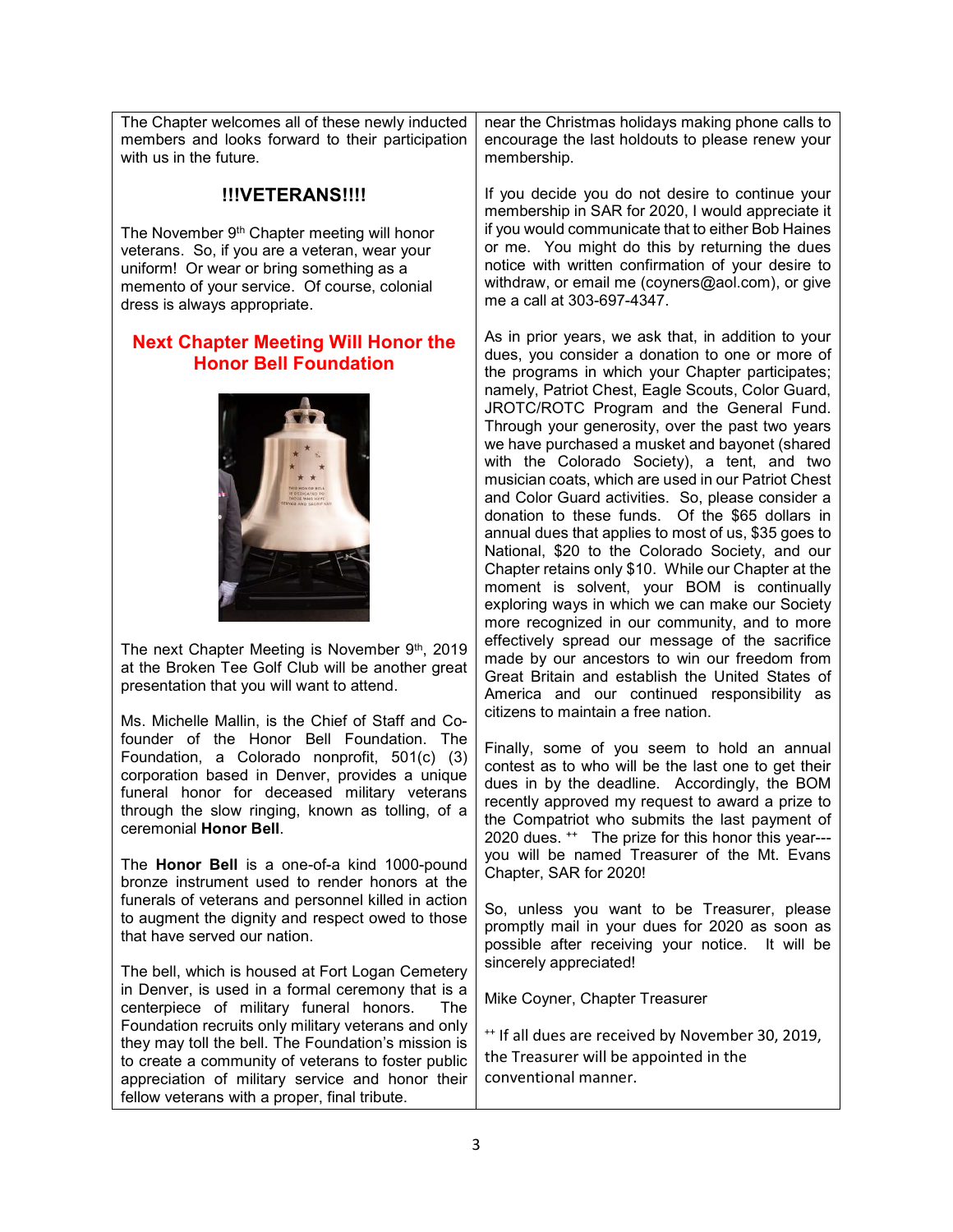The Chapter welcomes all of these newly inducted members and looks forward to their participation with us in the future.

#### !!!VETERANS!!!!

The November 9<sup>th</sup> Chapter meeting will honor veterans. So, if you are a veteran, wear your uniform! Or wear or bring something as a memento of your service. Of course, colonial dress is always appropriate.

#### Next Chapter Meeting Will Honor the Honor Bell Foundation



The next Chapter Meeting is November 9th, 2019 at the Broken Tee Golf Club will be another great presentation that you will want to attend.

Ms. Michelle Mallin, is the Chief of Staff and Cofounder of the Honor Bell Foundation. The Foundation, a Colorado nonprofit, 501(c) (3) corporation based in Denver, provides a unique funeral honor for deceased military veterans through the slow ringing, known as tolling, of a ceremonial Honor Bell.

The Honor Bell is a one-of-a kind 1000-pound bronze instrument used to render honors at the funerals of veterans and personnel killed in action to augment the dignity and respect owed to those that have served our nation.

The bell, which is housed at Fort Logan Cemetery in Denver, is used in a formal ceremony that is a centerpiece of military funeral honors. The Foundation recruits only military veterans and only they may toll the bell. The Foundation's mission is to create a community of veterans to foster public appreciation of military service and honor their fellow veterans with a proper, final tribute.

near the Christmas holidays making phone calls to encourage the last holdouts to please renew your membership.

If you decide you do not desire to continue your membership in SAR for 2020, I would appreciate it if you would communicate that to either Bob Haines or me. You might do this by returning the dues notice with written confirmation of your desire to withdraw, or email me (coyners@aol.com), or give me a call at 303-697-4347.

As in prior years, we ask that, in addition to your dues, you consider a donation to one or more of the programs in which your Chapter participates; namely, Patriot Chest, Eagle Scouts, Color Guard, JROTC/ROTC Program and the General Fund. Through your generosity, over the past two years we have purchased a musket and bayonet (shared with the Colorado Society), a tent, and two musician coats, which are used in our Patriot Chest and Color Guard activities. So, please consider a donation to these funds. Of the \$65 dollars in annual dues that applies to most of us, \$35 goes to National, \$20 to the Colorado Society, and our Chapter retains only \$10. While our Chapter at the moment is solvent, your BOM is continually exploring ways in which we can make our Society more recognized in our community, and to more effectively spread our message of the sacrifice made by our ancestors to win our freedom from Great Britain and establish the United States of America and our continued responsibility as citizens to maintain a free nation.

Finally, some of you seem to hold an annual contest as to who will be the last one to get their dues in by the deadline. Accordingly, the BOM recently approved my request to award a prize to the Compatriot who submits the last payment of 2020 dues. ++ The prize for this honor this year-- you will be named Treasurer of the Mt. Evans Chapter, SAR for 2020!

So, unless you want to be Treasurer, please promptly mail in your dues for 2020 as soon as possible after receiving your notice. It will be sincerely appreciated!

Mike Coyner, Chapter Treasurer

<sup>++</sup> If all dues are received by November 30, 2019, the Treasurer will be appointed in the conventional manner.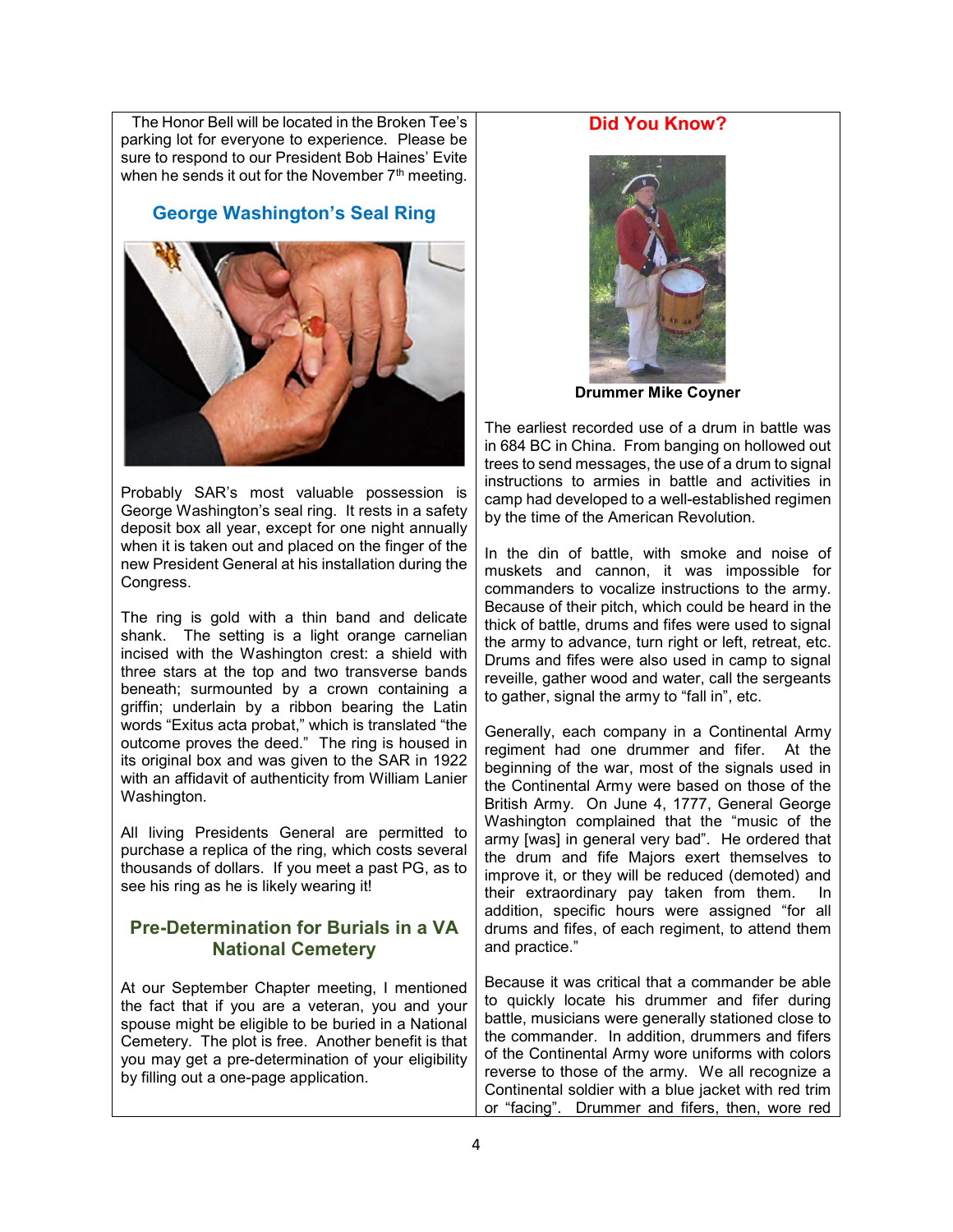The Honor Bell will be located in the Broken Tee's parking lot for everyone to experience. Please be sure to respond to our President Bob Haines' Evite when he sends it out for the November  $7<sup>th</sup>$  meeting.

### George Washington's Seal Ring



Probably SAR's most valuable possession is George Washington's seal ring. It rests in a safety deposit box all year, except for one night annually when it is taken out and placed on the finger of the new President General at his installation during the Congress.

The ring is gold with a thin band and delicate shank. The setting is a light orange carnelian incised with the Washington crest: a shield with three stars at the top and two transverse bands beneath; surmounted by a crown containing a griffin; underlain by a ribbon bearing the Latin words "Exitus acta probat," which is translated "the outcome proves the deed." The ring is housed in its original box and was given to the SAR in 1922 with an affidavit of authenticity from William Lanier Washington.

All living Presidents General are permitted to purchase a replica of the ring, which costs several thousands of dollars. If you meet a past PG, as to see his ring as he is likely wearing it!

#### Pre-Determination for Burials in a VA National Cemetery

At our September Chapter meeting, I mentioned the fact that if you are a veteran, you and your spouse might be eligible to be buried in a National Cemetery. The plot is free. Another benefit is that you may get a pre-determination of your eligibility by filling out a one-page application.

### Did You Know?



Drummer Mike Coyner

The earliest recorded use of a drum in battle was in 684 BC in China. From banging on hollowed out trees to send messages, the use of a drum to signal instructions to armies in battle and activities in camp had developed to a well-established regimen by the time of the American Revolution.

In the din of battle, with smoke and noise of muskets and cannon, it was impossible for commanders to vocalize instructions to the army. Because of their pitch, which could be heard in the thick of battle, drums and fifes were used to signal the army to advance, turn right or left, retreat, etc. Drums and fifes were also used in camp to signal reveille, gather wood and water, call the sergeants to gather, signal the army to "fall in", etc.

Generally, each company in a Continental Army regiment had one drummer and fifer. At the beginning of the war, most of the signals used in the Continental Army were based on those of the British Army. On June 4, 1777, General George Washington complained that the "music of the army [was] in general very bad". He ordered that the drum and fife Majors exert themselves to improve it, or they will be reduced (demoted) and their extraordinary pay taken from them. In addition, specific hours were assigned "for all drums and fifes, of each regiment, to attend them and practice."

Because it was critical that a commander be able to quickly locate his drummer and fifer during battle, musicians were generally stationed close to the commander. In addition, drummers and fifers of the Continental Army wore uniforms with colors reverse to those of the army. We all recognize a Continental soldier with a blue jacket with red trim or "facing". Drummer and fifers, then, wore red